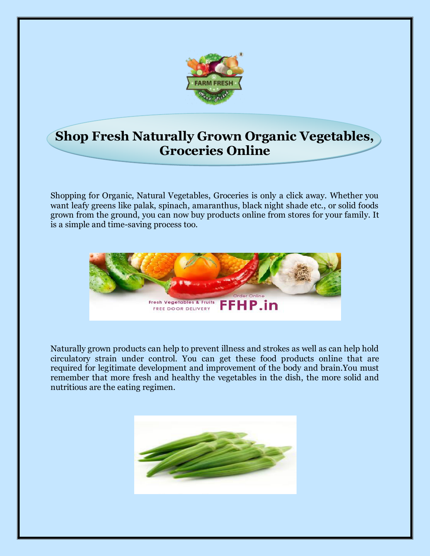

## **Shop Fresh Naturally Grown Organic Vegetables, Groceries Online**

Shopping for Organic, Natural Vegetables, Groceries is only a click away. Whether you want leafy greens like palak, spinach, amaranthus, black night shade etc., or solid foods grown from the ground, you can now buy products online from stores for your family. It is a simple and time-saving process too.



Naturally grown products can help to prevent illness and strokes as well as can help hold circulatory strain under control. You can get these food products online that are required for legitimate development and improvement of the body and brain.You must remember that more fresh and healthy the vegetables in the dish, the more solid and nutritious are the eating regimen.

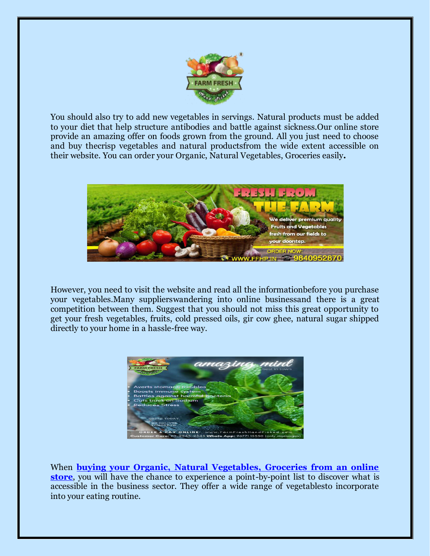

You should also try to add new vegetables in servings. Natural products must be added to your diet that help structure antibodies and battle against sickness.Our online store provide an amazing offer on foods grown from the ground. All you just need to choose and buy thecrisp vegetables and natural productsfrom the wide extent accessible on their website. You can order your Organic, Natural Vegetables, Groceries easily**.** 



However, you need to visit the website and read all the informationbefore you purchase your vegetables.Many supplierswandering into online businessand there is a great competition between them. Suggest that you should not miss this great opportunity to get your fresh vegetables, fruits, cold pressed oils, gir cow ghee, natural sugar shipped directly to your home in a hassle-free way.



When **[buying your Organic, Natural Vegetables, Groceries from an online](https://www.farmfreshhandpicked.com/vegetables)  [store](https://www.farmfreshhandpicked.com/vegetables)**, you will have the chance to experience a point-by-point list to discover what is accessible in the business sector. They offer a wide range of vegetablesto incorporate into your eating routine.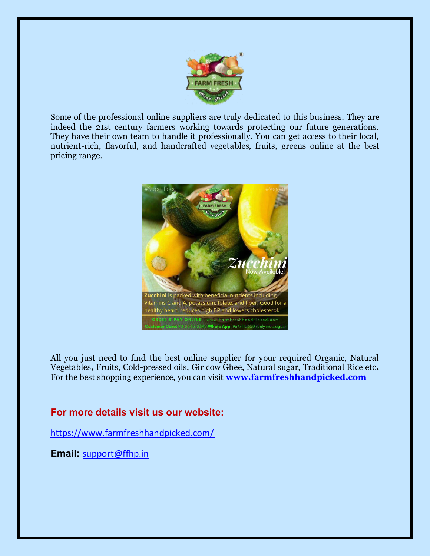

Some of the professional online suppliers are truly dedicated to this business. They are indeed the 21st century farmers working towards protecting our future generations. They have their own team to handle it professionally. You can get access to their local, nutrient-rich, flavorful, and handcrafted vegetables, fruits, greens online at the best pricing range.



All you just need to find the best online supplier for your required Organic, Natural Vegetables**,** Fruits, Cold-pressed oils, Gir cow Ghee, Natural sugar, Traditional Rice etc**.**  For the best shopping experience, you can visit **[www.farmfreshhandpicked.com](http://www.farmfreshhandpicked.com/)**

## **For more details visit us our website:**

<https://www.farmfreshhandpicked.com/>

**Email:** [support@ffhp.in](mailto:support@ffhp.in)